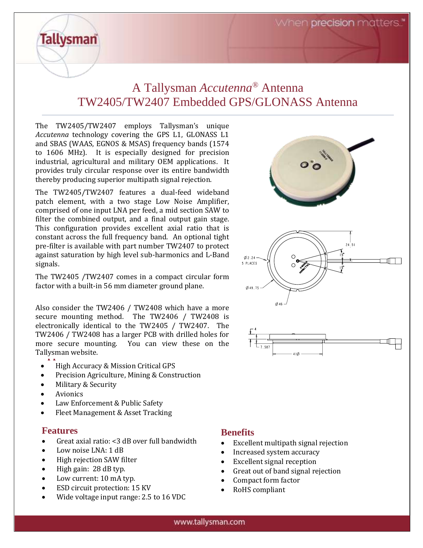When precision matters.

# A Tallysman *Accutenna®* Antenna TW2405/TW2407 Embedded GPS/GLONASS Antenna

The TW2405/TW2407 employs Tallysman's unique *Accutenna* technology covering the GPS L1, GLONASS L1 and SBAS (WAAS, EGNOS & MSAS) frequency bands (1574 to 1606 MHz). It is especially designed for precision industrial, agricultural and military OEM applications. It provides truly circular response over its entire bandwidth thereby producing superior multipath signal rejection.

The TW2405/TW2407 features a dual-feed wideband patch element, with a two stage Low Noise Amplifier, comprised of one input LNA per feed, a mid section SAW to filter the combined output, and a final output gain stage. This configuration provides excellent axial ratio that is constant across the full frequency band. An optional tight pre-filter is available with part number TW2407 to protect against saturation by high level sub-harmonics and L-Band signals.

The TW2405 /TW2407 comes in a compact circular form factor with a built-in 56 mm diameter ground plane.

Tallysman website. Also consider the TW2406 / TW2408 which have a more secure mounting method. The TW2406 / TW2408 is electronically identical to the TW2405 / TW2407. The TW2406 / TW2408 has a larger PCB with drilled holes for more secure mounting. You can view these on the

- High Accuracy & Mission Critical GPS
- Precision Agriculture, Mining & Construction
- Military & Security

**Tallysman** 

- **Avionics**
- Law Enforcement & Public Safety
- Fleet Management & Asset Tracking

## **Features**

- Great axial ratio: <3 dB over full bandwidth
- Low noise LNA: 1 dB
- High rejection SAW filter
- High gain: 28 dB typ.
- Low current: 10 mA typ.
- ESD circuit protection: 15 KV
- Wide voltage input range: 2.5 to 16 VDC



## **Benefits**

- Excellent multipath signal rejection
- Increased system accuracy
- Excellent signal reception
- Great out of band signal rejection
- Compact form factor
- RoHS compliant